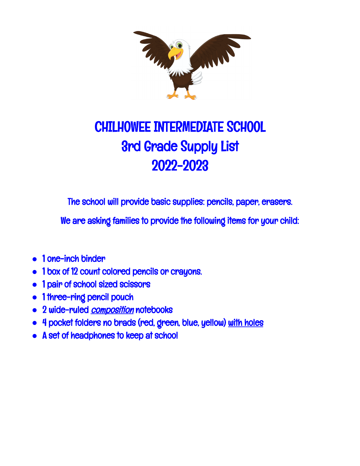

## CHILHOWEE INTERMEDIATE SCHOOL 3rd Grade Supply List 2022-2023

The school will provide basic supplies: pencils, paper, erasers.

We are asking families to provide the following items for your child:

- **●** 1 one-inch binder
- **●** 1 box of 12 count colored pencils or crayons.
- **●** 1 pair of school sized scissors
- **●** 1 three-ring pencil pouch
- **•** 2 wide-ruled *composition* notebooks
- **●** 4 pocket folders no brads (red, green, blue, yellow) with holes
- **●** A set of headphones to keep at school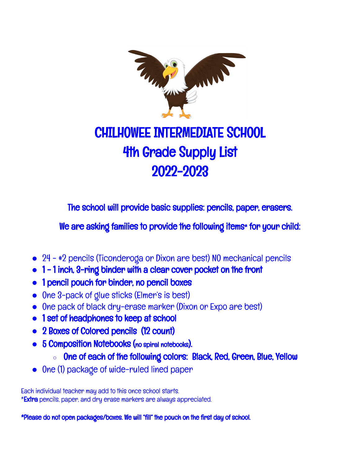

## CHILHOWEE INTERMEDIATE SCHOOL 4th Grade Supply List 2022-2023

The school will provide basic supplies: pencils, paper, erasers.

We are asking families to provide the following items\* for your child:

- **●** 24 #2 pencils (Ticonderoga or Dixon are best) NO mechanical pencils
- **●** 1 1 inch, 3-ring binder with a clear cover pocket on the front
- **●** 1 pencil pouch for binder, no pencil boxes
- **●** One 3-pack of glue sticks (Elmer's is best)
- One pack of black dry-erase marker (Dixon or Expo are best)
- **●** 1 set of headphones to keep at school
- **●** 2 Boxes of Colored pencils (12 count)
- **●** 5 Composition Notebooks (no spiral notebooks).
	- One of each of the following colors: Black, Red, Green, Blue, Yellow
- **●** One (1) package of wide-ruled lined paper

Each individual teacher may add to this once school starts. \***Extra** pencils, paper, and dry erase markers are always appreciated.

\*Please do not open packages/boxes. We will "fill" the pouch on the first day of school.